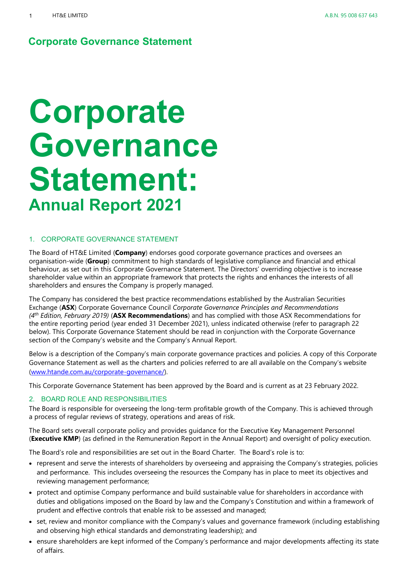# **Corporate Governance Statement: Annual Report 2021**

#### <span id="page-0-1"></span>1. CORPORATE GOVERNANCE STATEMENT

The Board of HT&E Limited (**Company**) endorses good corporate governance practices and oversees an organisation-wide (**Group**) commitment to high standards of legislative compliance and financial and ethical behaviour, as set out in this Corporate Governance Statement. The Directors' overriding objective is to increase shareholder value within an appropriate framework that protects the rights and enhances the interests of all shareholders and ensures the Company is properly managed.

The Company has considered the best practice recommendations established by the Australian Securities Exchange (**ASX**) Corporate Governance Council *Corporate Governance Principles and Recommendations (4th Edition, February 2019)* (**ASX Recommendations**) and has complied with those ASX Recommendations for the entire reporting period (year ended 31 December 2021), unless indicated otherwise (refer to paragraph [22](#page-12-0) below). This Corporate Governance Statement should be read in conjunction with the Corporate Governance section of the Company's website and the Company's Annual Report.

Below is a description of the Company's main corporate governance practices and policies. A copy of this Corporate Governance Statement as well as the charters and policies referred to are all available on the Company's website [\(www.htande.com.au/corporate-governance/\)](http://www.htande.com.au/corporate-governance/).

This Corporate Governance Statement has been approved by the Board and is current as at 23 February 2022.

#### <span id="page-0-0"></span>2. BOARD ROLE AND RESPONSIBILITIES

The Board is responsible for overseeing the long-term profitable growth of the Company. This is achieved through a process of regular reviews of strategy, operations and areas of risk.

The Board sets overall corporate policy and provides guidance for the Executive Key Management Personnel (**Executive KMP**) (as defined in the Remuneration Report in the Annual Report) and oversight of policy execution.

The Board's role and responsibilities are set out in the Board Charter. The Board's role is to:

- represent and serve the interests of shareholders by overseeing and appraising the Company's strategies, policies and performance. This includes overseeing the resources the Company has in place to meet its objectives and reviewing management performance;
- protect and optimise Company performance and build sustainable value for shareholders in accordance with duties and obligations imposed on the Board by law and the Company's Constitution and within a framework of prudent and effective controls that enable risk to be assessed and managed;
- set, review and monitor compliance with the Company's values and governance framework (including establishing and observing high ethical standards and demonstrating leadership); and
- ensure shareholders are kept informed of the Company's performance and major developments affecting its state of affairs.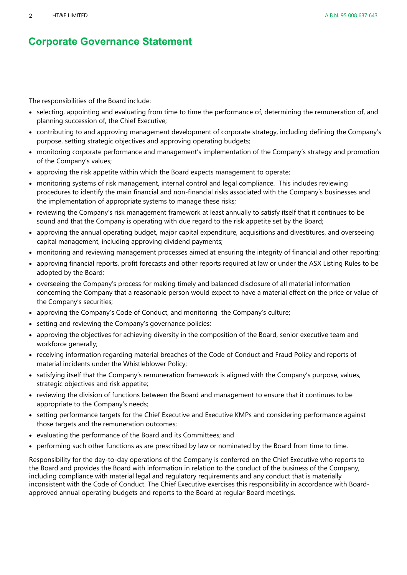The responsibilities of the Board include:

- selecting, appointing and evaluating from time to time the performance of, determining the remuneration of, and planning succession of, the Chief Executive;
- contributing to and approving management development of corporate strategy, including defining the Company's purpose, setting strategic objectives and approving operating budgets;
- monitoring corporate performance and management's implementation of the Company's strategy and promotion of the Company's values;
- approving the risk appetite within which the Board expects management to operate;
- monitoring systems of risk management, internal control and legal compliance. This includes reviewing procedures to identify the main financial and non-financial risks associated with the Company's businesses and the implementation of appropriate systems to manage these risks;
- reviewing the Company's risk management framework at least annually to satisfy itself that it continues to be sound and that the Company is operating with due regard to the risk appetite set by the Board;
- approving the annual operating budget, major capital expenditure, acquisitions and divestitures, and overseeing capital management, including approving dividend payments;
- monitoring and reviewing management processes aimed at ensuring the integrity of financial and other reporting;
- approving financial reports, profit forecasts and other reports required at law or under the ASX Listing Rules to be adopted by the Board;
- overseeing the Company's process for making timely and balanced disclosure of all material information concerning the Company that a reasonable person would expect to have a material effect on the price or value of the Company's securities;
- approving the Company's Code of Conduct, and monitoring the Company's culture;
- setting and reviewing the Company's governance policies;
- approving the objectives for achieving diversity in the composition of the Board, senior executive team and workforce generally;
- receiving information regarding material breaches of the Code of Conduct and Fraud Policy and reports of material incidents under the Whistleblower Policy;
- satisfying itself that the Company's remuneration framework is aligned with the Company's purpose, values, strategic objectives and risk appetite;
- reviewing the division of functions between the Board and management to ensure that it continues to be appropriate to the Company's needs;
- setting performance targets for the Chief Executive and Executive KMPs and considering performance against those targets and the remuneration outcomes;
- evaluating the performance of the Board and its Committees; and
- performing such other functions as are prescribed by law or nominated by the Board from time to time.

<span id="page-1-0"></span>Responsibility for the day-to-day operations of the Company is conferred on the Chief Executive who reports to the Board and provides the Board with information in relation to the conduct of the business of the Company, including compliance with material legal and regulatory requirements and any conduct that is materially inconsistent with the Code of Conduct. The Chief Executive exercises this responsibility in accordance with Boardapproved annual operating budgets and reports to the Board at regular Board meetings.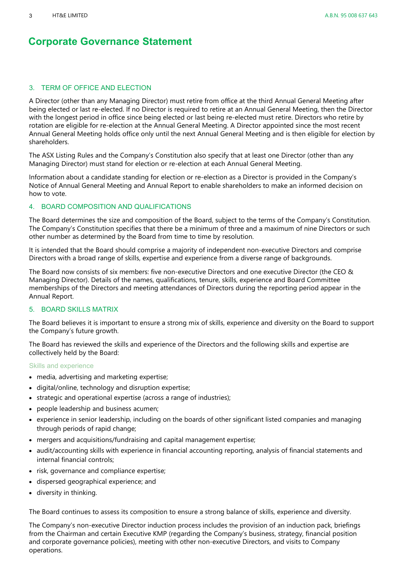#### 3. TERM OF OFFICE AND ELECTION

A Director (other than any Managing Director) must retire from office at the third Annual General Meeting after being elected or last re-elected. If no Director is required to retire at an Annual General Meeting, then the Director with the longest period in office since being elected or last being re-elected must retire. Directors who retire by rotation are eligible for re-election at the Annual General Meeting. A Director appointed since the most recent Annual General Meeting holds office only until the next Annual General Meeting and is then eligible for election by shareholders.

The ASX Listing Rules and the Company's Constitution also specify that at least one Director (other than any Managing Director) must stand for election or re-election at each Annual General Meeting.

Information about a candidate standing for election or re-election as a Director is provided in the Company's Notice of Annual General Meeting and Annual Report to enable shareholders to make an informed decision on how to vote.

#### <span id="page-2-1"></span>4. BOARD COMPOSITION AND QUALIFICATIONS

The Board determines the size and composition of the Board, subject to the terms of the Company's Constitution. The Company's Constitution specifies that there be a minimum of three and a maximum of nine Directors or such other number as determined by the Board from time to time by resolution.

It is intended that the Board should comprise a majority of independent non-executive Directors and comprise Directors with a broad range of skills, expertise and experience from a diverse range of backgrounds.

The Board now consists of six members: five non-executive Directors and one executive Director (the CEO & Managing Director). Details of the names, qualifications, tenure, skills, experience and Board Committee memberships of the Directors and meeting attendances of Directors during the reporting period appear in the Annual Report.

#### <span id="page-2-0"></span>5. BOARD SKILLS MATRIX

The Board believes it is important to ensure a strong mix of skills, experience and diversity on the Board to support the Company's future growth.

The Board has reviewed the skills and experience of the Directors and the following skills and expertise are collectively held by the Board:

#### Skills and experience

- media, advertising and marketing expertise;
- digital/online, technology and disruption expertise;
- strategic and operational expertise (across a range of industries);
- people leadership and business acumen;
- experience in senior leadership, including on the boards of other significant listed companies and managing through periods of rapid change;
- mergers and acquisitions/fundraising and capital management expertise;
- audit/accounting skills with experience in financial accounting reporting, analysis of financial statements and internal financial controls;
- risk, governance and compliance expertise;
- dispersed geographical experience; and
- diversity in thinking.

The Board continues to assess its composition to ensure a strong balance of skills, experience and diversity.

The Company's non-executive Director induction process includes the provision of an induction pack, briefings from the Chairman and certain Executive KMP (regarding the Company's business, strategy, financial position and corporate governance policies), meeting with other non-executive Directors, and visits to Company operations.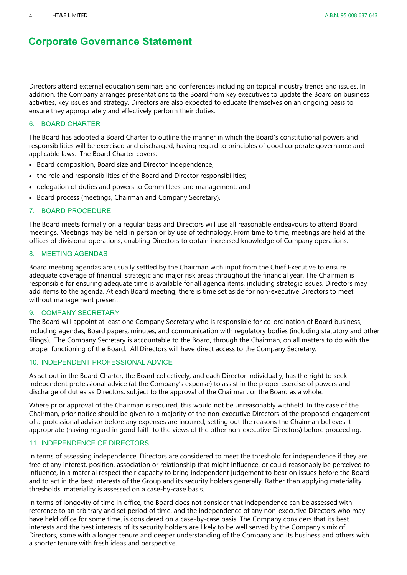Directors attend external education seminars and conferences including on topical industry trends and issues. In addition, the Company arranges presentations to the Board from key executives to update the Board on business activities, key issues and strategy. Directors are also expected to educate themselves on an ongoing basis to ensure they appropriately and effectively perform their duties.

#### <span id="page-3-0"></span>6. BOARD CHARTER

The Board has adopted a Board Charter to outline the manner in which the Board's constitutional powers and responsibilities will be exercised and discharged, having regard to principles of good corporate governance and applicable laws. The Board Charter covers:

- Board composition, Board size and Director independence;
- the role and responsibilities of the Board and Director responsibilities;
- delegation of duties and powers to Committees and management; and
- Board process (meetings, Chairman and Company Secretary).

#### <span id="page-3-1"></span>7. BOARD PROCEDURE

The Board meets formally on a regular basis and Directors will use all reasonable endeavours to attend Board meetings. Meetings may be held in person or by use of technology. From time to time, meetings are held at the offices of divisional operations, enabling Directors to obtain increased knowledge of Company operations.

#### <span id="page-3-2"></span>8. MEETING AGENDAS

Board meeting agendas are usually settled by the Chairman with input from the Chief Executive to ensure adequate coverage of financial, strategic and major risk areas throughout the financial year. The Chairman is responsible for ensuring adequate time is available for all agenda items, including strategic issues. Directors may add items to the agenda. At each Board meeting, there is time set aside for non-executive Directors to meet without management present.

#### <span id="page-3-5"></span>9. COMPANY SECRETARY

The Board will appoint at least one Company Secretary who is responsible for co-ordination of Board business, including agendas, Board papers, minutes, and communication with regulatory bodies (including statutory and other filings). The Company Secretary is accountable to the Board, through the Chairman, on all matters to do with the proper functioning of the Board. All Directors will have direct access to the Company Secretary.

#### <span id="page-3-3"></span>10. INDEPENDENT PROFESSIONAL ADVICE

As set out in the Board Charter, the Board collectively, and each Director individually, has the right to seek independent professional advice (at the Company's expense) to assist in the proper exercise of powers and discharge of duties as Directors, subject to the approval of the Chairman, or the Board as a whole.

Where prior approval of the Chairman is required, this would not be unreasonably withheld. In the case of the Chairman, prior notice should be given to a majority of the non-executive Directors of the proposed engagement of a professional advisor before any expenses are incurred, setting out the reasons the Chairman believes it appropriate (having regard in good faith to the views of the other non-executive Directors) before proceeding.

#### <span id="page-3-4"></span>11. INDEPENDENCE OF DIRECTORS

In terms of assessing independence, Directors are considered to meet the threshold for independence if they are free of any interest, position, association or relationship that might influence, or could reasonably be perceived to influence, in a material respect their capacity to bring independent judgement to bear on issues before the Board and to act in the best interests of the Group and its security holders generally. Rather than applying materiality thresholds, materiality is assessed on a case-by-case basis.

In terms of longevity of time in office, the Board does not consider that independence can be assessed with reference to an arbitrary and set period of time, and the independence of any non-executive Directors who may have held office for some time, is considered on a case-by-case basis. The Company considers that its best interests and the best interests of its security holders are likely to be well served by the Company's mix of Directors, some with a longer tenure and deeper understanding of the Company and its business and others with a shorter tenure with fresh ideas and perspective.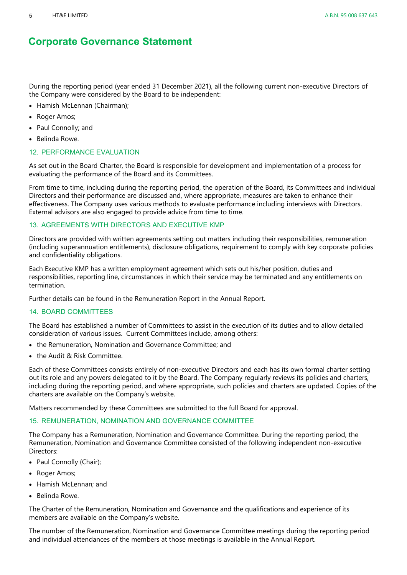During the reporting period (year ended 31 December 2021), all the following current non-executive Directors of the Company were considered by the Board to be independent:

- Hamish McLennan (Chairman);
- Roger Amos;
- Paul Connolly; and
- Belinda Rowe.

#### <span id="page-4-2"></span>12. PERFORMANCE EVALUATION

As set out in the Board Charter, the Board is responsible for development and implementation of a process for evaluating the performance of the Board and its Committees.

From time to time, including during the reporting period, the operation of the Board, its Committees and individual Directors and their performance are discussed and, where appropriate, measures are taken to enhance their effectiveness. The Company uses various methods to evaluate performance including interviews with Directors. External advisors are also engaged to provide advice from time to time.

#### <span id="page-4-1"></span>13. AGREEMENTS WITH DIRECTORS AND EXECUTIVE KMP

Directors are provided with written agreements setting out matters including their responsibilities, remuneration (including superannuation entitlements), disclosure obligations, requirement to comply with key corporate policies and confidentiality obligations.

Each Executive KMP has a written employment agreement which sets out his/her position, duties and responsibilities, reporting line, circumstances in which their service may be terminated and any entitlements on termination.

Further details can be found in the Remuneration Report in the Annual Report.

#### 14. BOARD COMMITTEES

The Board has established a number of Committees to assist in the execution of its duties and to allow detailed consideration of various issues. Current Committees include, among others:

- the Remuneration, Nomination and Governance Committee; and
- the Audit & Risk Committee.

Each of these Committees consists entirely of non-executive Directors and each has its own formal charter setting out its role and any powers delegated to it by the Board. The Company regularly reviews its policies and charters, including during the reporting period, and where appropriate, such policies and charters are updated. Copies of the charters are available on the Company's website.

Matters recommended by these Committees are submitted to the full Board for approval.

#### <span id="page-4-0"></span>15. REMUNERATION, NOMINATION AND GOVERNANCE COMMITTEE

The Company has a Remuneration, Nomination and Governance Committee. During the reporting period, the Remuneration, Nomination and Governance Committee consisted of the following independent non-executive Directors:

- Paul Connolly (Chair);
- Roger Amos;
- Hamish McLennan; and
- Belinda Rowe.

The Charter of the Remuneration, Nomination and Governance and the qualifications and experience of its members are available on the Company's website.

The number of the Remuneration, Nomination and Governance Committee meetings during the reporting period and individual attendances of the members at those meetings is available in the Annual Report.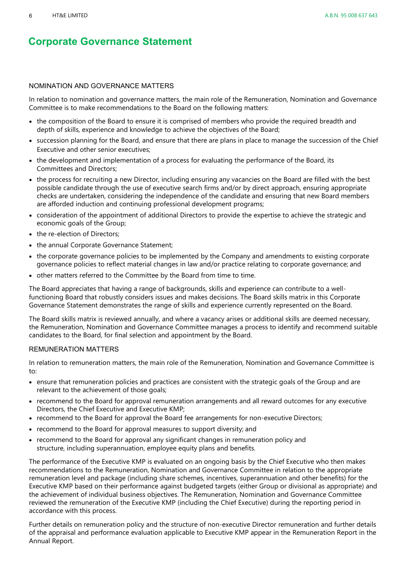#### NOMINATION AND GOVERNANCE MATTERS

In relation to nomination and governance matters, the main role of the Remuneration, Nomination and Governance Committee is to make recommendations to the Board on the following matters:

- the composition of the Board to ensure it is comprised of members who provide the required breadth and depth of skills, experience and knowledge to achieve the objectives of the Board;
- succession planning for the Board, and ensure that there are plans in place to manage the succession of the Chief Executive and other senior executives;
- the development and implementation of a process for evaluating the performance of the Board, its Committees and Directors;
- the process for recruiting a new Director, including ensuring any vacancies on the Board are filled with the best possible candidate through the use of executive search firms and/or by direct approach, ensuring appropriate checks are undertaken, considering the independence of the candidate and ensuring that new Board members are afforded induction and continuing professional development programs;
- consideration of the appointment of additional Directors to provide the expertise to achieve the strategic and economic goals of the Group;
- the re-election of Directors;
- the annual Corporate Governance Statement;
- the corporate governance policies to be implemented by the Company and amendments to existing corporate governance policies to reflect material changes in law and/or practice relating to corporate governance; and
- other matters referred to the Committee by the Board from time to time.

The Board appreciates that having a range of backgrounds, skills and experience can contribute to a wellfunctioning Board that robustly considers issues and makes decisions. The Board skills matrix in this Corporate Governance Statement demonstrates the range of skills and experience currently represented on the Board.

The Board skills matrix is reviewed annually, and where a vacancy arises or additional skills are deemed necessary, the Remuneration, Nomination and Governance Committee manages a process to identify and recommend suitable candidates to the Board, for final selection and appointment by the Board.

#### REMUNERATION MATTERS

In relation to remuneration matters, the main role of the Remuneration, Nomination and Governance Committee is to:

- ensure that remuneration policies and practices are consistent with the strategic goals of the Group and are relevant to the achievement of those goals;
- recommend to the Board for approval remuneration arrangements and all reward outcomes for any executive Directors, the Chief Executive and Executive KMP;
- recommend to the Board for approval the Board fee arrangements for non-executive Directors;
- recommend to the Board for approval measures to support diversity; and
- recommend to the Board for approval any significant changes in remuneration policy and structure, including superannuation, employee equity plans and benefits.

The performance of the Executive KMP is evaluated on an ongoing basis by the Chief Executive who then makes recommendations to the Remuneration, Nomination and Governance Committee in relation to the appropriate remuneration level and package (including share schemes, incentives, superannuation and other benefits) for the Executive KMP based on their performance against budgeted targets (either Group or divisional as appropriate) and the achievement of individual business objectives. The Remuneration, Nomination and Governance Committee reviewed the remuneration of the Executive KMP (including the Chief Executive) during the reporting period in accordance with this process.

Further details on remuneration policy and the structure of non-executive Director remuneration and further details of the appraisal and performance evaluation applicable to Executive KMP appear in the Remuneration Report in the Annual Report.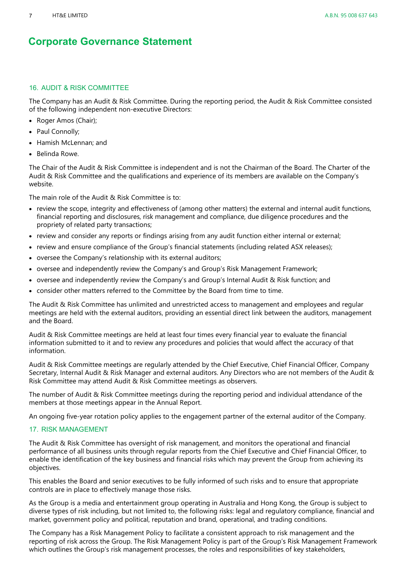#### <span id="page-6-0"></span>16. AUDIT & RISK COMMITTEE

The Company has an Audit & Risk Committee. During the reporting period, the Audit & Risk Committee consisted of the following independent non-executive Directors:

- Roger Amos (Chair);
- Paul Connolly;
- Hamish McLennan; and
- Belinda Rowe.

The Chair of the Audit & Risk Committee is independent and is not the Chairman of the Board. The Charter of the Audit & Risk Committee and the qualifications and experience of its members are available on the Company's website.

The main role of the Audit & Risk Committee is to:

- review the scope, integrity and effectiveness of (among other matters) the external and internal audit functions, financial reporting and disclosures, risk management and compliance, due diligence procedures and the propriety of related party transactions;
- review and consider any reports or findings arising from any audit function either internal or external;
- review and ensure compliance of the Group's financial statements (including related ASX releases);
- oversee the Company's relationship with its external auditors;
- oversee and independently review the Company's and Group's Risk Management Framework;
- oversee and independently review the Company's and Group's Internal Audit & Risk function; and
- consider other matters referred to the Committee by the Board from time to time.

The Audit & Risk Committee has unlimited and unrestricted access to management and employees and regular meetings are held with the external auditors, providing an essential direct link between the auditors, management and the Board.

Audit & Risk Committee meetings are held at least four times every financial year to evaluate the financial information submitted to it and to review any procedures and policies that would affect the accuracy of that information.

Audit & Risk Committee meetings are regularly attended by the Chief Executive, Chief Financial Officer, Company Secretary, Internal Audit & Risk Manager and external auditors. Any Directors who are not members of the Audit & Risk Committee may attend Audit & Risk Committee meetings as observers.

The number of Audit & Risk Committee meetings during the reporting period and individual attendance of the members at those meetings appear in the Annual Report.

An ongoing five-year rotation policy applies to the engagement partner of the external auditor of the Company.

#### <span id="page-6-1"></span>17. RISK MANAGEMENT

The Audit & Risk Committee has oversight of risk management, and monitors the operational and financial performance of all business units through regular reports from the Chief Executive and Chief Financial Officer, to enable the identification of the key business and financial risks which may prevent the Group from achieving its objectives.

This enables the Board and senior executives to be fully informed of such risks and to ensure that appropriate controls are in place to effectively manage those risks.

As the Group is a media and entertainment group operating in Australia and Hong Kong, the Group is subject to diverse types of risk including, but not limited to, the following risks: legal and regulatory compliance, financial and market, government policy and political, reputation and brand, operational, and trading conditions.

The Company has a Risk Management Policy to facilitate a consistent approach to risk management and the reporting of risk across the Group. The Risk Management Policy is part of the Group's Risk Management Framework which outlines the Group's risk management processes, the roles and responsibilities of key stakeholders,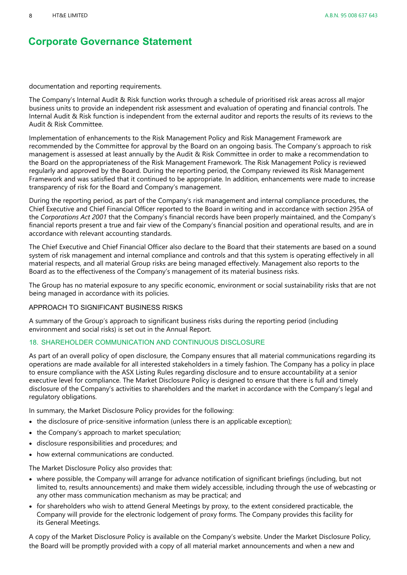documentation and reporting requirements.

The Company's Internal Audit & Risk function works through a schedule of prioritised risk areas across all major business units to provide an independent risk assessment and evaluation of operating and financial controls. The Internal Audit & Risk function is independent from the external auditor and reports the results of its reviews to the Audit & Risk Committee.

Implementation of enhancements to the Risk Management Policy and Risk Management Framework are recommended by the Committee for approval by the Board on an ongoing basis. The Company's approach to risk management is assessed at least annually by the Audit & Risk Committee in order to make a recommendation to the Board on the appropriateness of the Risk Management Framework. The Risk Management Policy is reviewed regularly and approved by the Board. During the reporting period, the Company reviewed its Risk Management Framework and was satisfied that it continued to be appropriate. In addition, enhancements were made to increase transparency of risk for the Board and Company's management.

During the reporting period, as part of the Company's risk management and internal compliance procedures, the Chief Executive and Chief Financial Officer reported to the Board in writing and in accordance with section 295A of the *Corporations Act 2001* that the Company's financial records have been properly maintained, and the Company's financial reports present a true and fair view of the Company's financial position and operational results, and are in accordance with relevant accounting standards.

The Chief Executive and Chief Financial Officer also declare to the Board that their statements are based on a sound system of risk management and internal compliance and controls and that this system is operating effectively in all material respects, and all material Group risks are being managed effectively. Management also reports to the Board as to the effectiveness of the Company's management of its material business risks.

The Group has no material exposure to any specific economic, environment or social sustainability risks that are not being managed in accordance with its policies.

#### APPROACH TO SIGNIFICANT BUSINESS RISKS

A summary of the Group's approach to significant business risks during the reporting period (including environment and social risks) is set out in the Annual Report.

#### <span id="page-7-0"></span>18. SHAREHOLDER COMMUNICATION AND CONTINUOUS DISCLOSURE

As part of an overall policy of open disclosure, the Company ensures that all material communications regarding its operations are made available for all interested stakeholders in a timely fashion. The Company has a policy in place to ensure compliance with the ASX Listing Rules regarding disclosure and to ensure accountability at a senior executive level for compliance. The Market Disclosure Policy is designed to ensure that there is full and timely disclosure of the Company's activities to shareholders and the market in accordance with the Company's legal and regulatory obligations.

In summary, the Market Disclosure Policy provides for the following:

- the disclosure of price-sensitive information (unless there is an applicable exception);
- the Company's approach to market speculation;
- disclosure responsibilities and procedures; and
- how external communications are conducted.

The Market Disclosure Policy also provides that:

- where possible, the Company will arrange for advance notification of significant briefings (including, but not limited to, results announcements) and make them widely accessible, including through the use of webcasting or any other mass communication mechanism as may be practical; and
- for shareholders who wish to attend General Meetings by proxy, to the extent considered practicable, the Company will provide for the electronic lodgement of proxy forms. The Company provides this facility for its General Meetings.

A copy of the Market Disclosure Policy is available on the Company's website. Under the Market Disclosure Policy, the Board will be promptly provided with a copy of all material market announcements and when a new and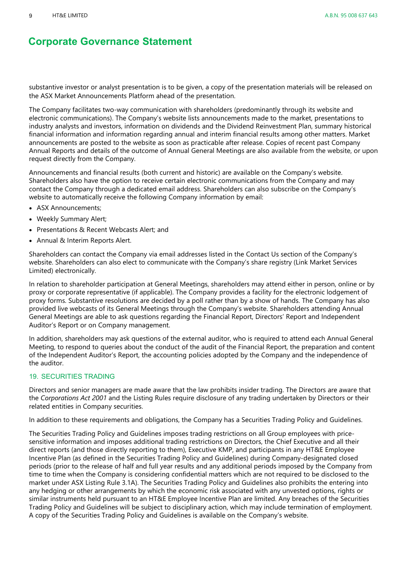substantive investor or analyst presentation is to be given, a copy of the presentation materials will be released on the ASX Market Announcements Platform ahead of the presentation.

The Company facilitates two-way communication with shareholders (predominantly through its website and electronic communications). The Company's website lists announcements made to the market, presentations to industry analysts and investors, information on dividends and the Dividend Reinvestment Plan, summary historical financial information and information regarding annual and interim financial results among other matters. Market announcements are posted to the website as soon as practicable after release. Copies of recent past Company Annual Reports and details of the outcome of Annual General Meetings are also available from the website, or upon request directly from the Company.

Announcements and financial results (both current and historic) are available on the Company's website. Shareholders also have the option to receive certain electronic communications from the Company and may contact the Company through a dedicated email address. Shareholders can also subscribe on the Company's website to automatically receive the following Company information by email:

- ASX Announcements;
- Weekly Summary Alert;
- Presentations & Recent Webcasts Alert; and
- Annual & Interim Reports Alert.

Shareholders can contact the Company via email addresses listed in the Contact Us section of the Company's website. Shareholders can also elect to communicate with the Company's share registry (Link Market Services Limited) electronically.

In relation to shareholder participation at General Meetings, shareholders may attend either in person, online or by proxy or corporate representative (if applicable). The Company provides a facility for the electronic lodgement of proxy forms. Substantive resolutions are decided by a poll rather than by a show of hands. The Company has also provided live webcasts of its General Meetings through the Company's website. Shareholders attending Annual General Meetings are able to ask questions regarding the Financial Report, Directors' Report and Independent Auditor's Report or on Company management.

In addition, shareholders may ask questions of the external auditor, who is required to attend each Annual General Meeting, to respond to queries about the conduct of the audit of the Financial Report, the preparation and content of the Independent Auditor's Report, the accounting policies adopted by the Company and the independence of the auditor.

#### <span id="page-8-0"></span>19. SECURITIES TRADING

Directors and senior managers are made aware that the law prohibits insider trading. The Directors are aware that the *Corporations Act 2001* and the Listing Rules require disclosure of any trading undertaken by Directors or their related entities in Company securities.

In addition to these requirements and obligations, the Company has a Securities Trading Policy and Guidelines.

The Securities Trading Policy and Guidelines imposes trading restrictions on all Group employees with pricesensitive information and imposes additional trading restrictions on Directors, the Chief Executive and all their direct reports (and those directly reporting to them), Executive KMP, and participants in any HT&E Employee Incentive Plan (as defined in the Securities Trading Policy and Guidelines) during Company-designated closed periods (prior to the release of half and full year results and any additional periods imposed by the Company from time to time when the Company is considering confidential matters which are not required to be disclosed to the market under ASX Listing Rule 3.1A). The Securities Trading Policy and Guidelines also prohibits the entering into any hedging or other arrangements by which the economic risk associated with any unvested options, rights or similar instruments held pursuant to an HT&E Employee Incentive Plan are limited. Any breaches of the Securities Trading Policy and Guidelines will be subject to disciplinary action, which may include termination of employment. A copy of the Securities Trading Policy and Guidelines is available on the Company's website.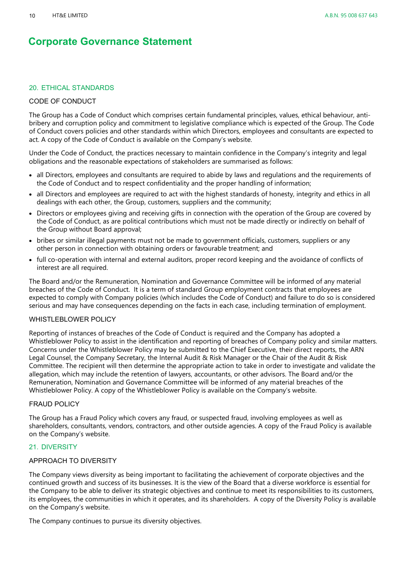#### <span id="page-9-1"></span>20. ETHICAL STANDARDS

#### CODE OF CONDUCT

The Group has a Code of Conduct which comprises certain fundamental principles, values, ethical behaviour, antibribery and corruption policy and commitment to legislative compliance which is expected of the Group. The Code of Conduct covers policies and other standards within which Directors, employees and consultants are expected to act. A copy of the Code of Conduct is available on the Company's website.

Under the Code of Conduct, the practices necessary to maintain confidence in the Company's integrity and legal obligations and the reasonable expectations of stakeholders are summarised as follows:

- all Directors, employees and consultants are required to abide by laws and regulations and the requirements of the Code of Conduct and to respect confidentiality and the proper handling of information;
- all Directors and employees are required to act with the highest standards of honesty, integrity and ethics in all dealings with each other, the Group, customers, suppliers and the community;
- Directors or employees giving and receiving gifts in connection with the operation of the Group are covered by the Code of Conduct, as are political contributions which must not be made directly or indirectly on behalf of the Group without Board approval;
- bribes or similar illegal payments must not be made to government officials, customers, suppliers or any other person in connection with obtaining orders or favourable treatment; and
- full co-operation with internal and external auditors, proper record keeping and the avoidance of conflicts of interest are all required.

The Board and/or the Remuneration, Nomination and Governance Committee will be informed of any material breaches of the Code of Conduct. It is a term of standard Group employment contracts that employees are expected to comply with Company policies (which includes the Code of Conduct) and failure to do so is considered serious and may have consequences depending on the facts in each case, including termination of employment.

#### WHISTLEBLOWER POLICY

Reporting of instances of breaches of the Code of Conduct is required and the Company has adopted a Whistleblower Policy to assist in the identification and reporting of breaches of Company policy and similar matters. Concerns under the Whistleblower Policy may be submitted to the Chief Executive, their direct reports, the ARN Legal Counsel, the Company Secretary, the Internal Audit & Risk Manager or the Chair of the Audit & Risk Committee. The recipient will then determine the appropriate action to take in order to investigate and validate the allegation, which may include the retention of lawyers, accountants, or other advisors. The Board and/or the Remuneration, Nomination and Governance Committee will be informed of any material breaches of the Whistleblower Policy. A copy of the Whistleblower Policy is available on the Company's website.

#### FRAUD POLICY

The Group has a Fraud Policy which covers any fraud, or suspected fraud, involving employees as well as shareholders, consultants, vendors, contractors, and other outside agencies. A copy of the Fraud Policy is available on the Company's website.

#### <span id="page-9-0"></span>21. DIVERSITY

#### APPROACH TO DIVERSITY

The Company views diversity as being important to facilitating the achievement of corporate objectives and the continued growth and success of its businesses. It is the view of the Board that a diverse workforce is essential for the Company to be able to deliver its strategic objectives and continue to meet its responsibilities to its customers, its employees, the communities in which it operates, and its shareholders. A copy of the Diversity Policy is available on the Company's website.

The Company continues to pursue its diversity objectives.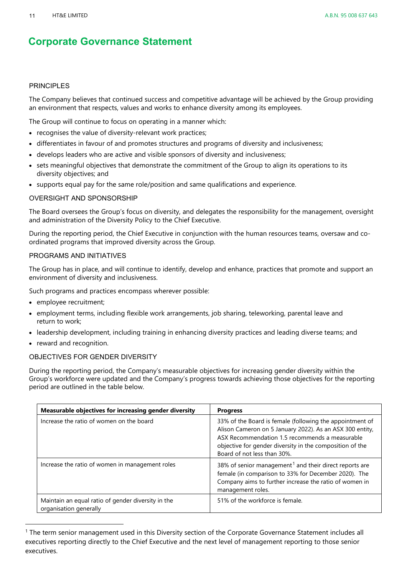#### **PRINCIPLES**

The Company believes that continued success and competitive advantage will be achieved by the Group providing an environment that respects, values and works to enhance diversity among its employees.

The Group will continue to focus on operating in a manner which:

- recognises the value of diversity-relevant work practices;
- differentiates in favour of and promotes structures and programs of diversity and inclusiveness;
- develops leaders who are active and visible sponsors of diversity and inclusiveness;
- sets meaningful objectives that demonstrate the commitment of the Group to align its operations to its diversity objectives; and
- supports equal pay for the same role/position and same qualifications and experience.

#### OVERSIGHT AND SPONSORSHIP

The Board oversees the Group's focus on diversity, and delegates the responsibility for the management, oversight and administration of the Diversity Policy to the Chief Executive.

During the reporting period, the Chief Executive in conjunction with the human resources teams, oversaw and coordinated programs that improved diversity across the Group.

#### PROGRAMS AND INITIATIVES

The Group has in place, and will continue to identify, develop and enhance, practices that promote and support an environment of diversity and inclusiveness.

Such programs and practices encompass wherever possible:

- employee recruitment;
- employment terms, including flexible work arrangements, job sharing, teleworking, parental leave and return to work;
- leadership development, including training in enhancing diversity practices and leading diverse teams; and
- reward and recognition.

#### OBJECTIVES FOR GENDER DIVERSITY

During the reporting period, the Company's measurable objectives for increasing gender diversity within the Group's workforce were updated and the Company's progress towards achieving those objectives for the reporting period are outlined in the table below.

| Measurable objectives for increasing gender diversity                        | <b>Progress</b>                                                                                                                                                                                                                                                   |
|------------------------------------------------------------------------------|-------------------------------------------------------------------------------------------------------------------------------------------------------------------------------------------------------------------------------------------------------------------|
| Increase the ratio of women on the board                                     | 33% of the Board is female (following the appointment of<br>Alison Cameron on 5 January 2022). As an ASX 300 entity,<br>ASX Recommendation 1.5 recommends a measurable<br>objective for gender diversity in the composition of the<br>Board of not less than 30%. |
| Increase the ratio of women in management roles                              | 38% of senior management <sup>1</sup> and their direct reports are<br>female (in comparison to 33% for December 2020). The<br>Company aims to further increase the ratio of women in<br>management roles.                                                         |
| Maintain an equal ratio of gender diversity in the<br>organisation generally | 51% of the workforce is female.                                                                                                                                                                                                                                   |

<span id="page-10-0"></span><sup>1</sup> The term senior management used in this Diversity section of the Corporate Governance Statement includes all executives reporting directly to the Chief Executive and the next level of management reporting to those senior executives.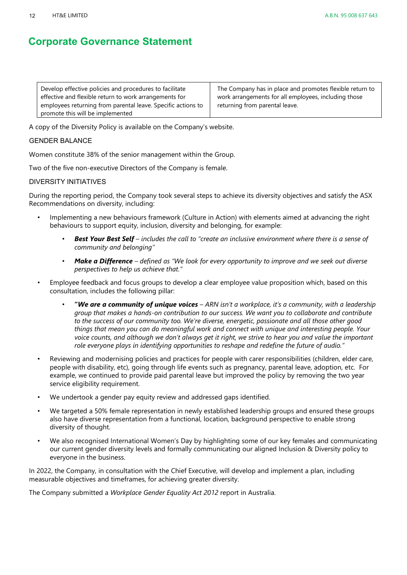| Develop effective policies and procedures to facilitate      | The Company has in place and promotes flexible return to |
|--------------------------------------------------------------|----------------------------------------------------------|
| effective and flexible return to work arrangements for       | work arrangements for all employees, including those     |
| employees returning from parental leave. Specific actions to | returning from parental leave.                           |
| promote this will be implemented                             |                                                          |

A copy of the Diversity Policy is available on the Company's website.

#### GENDER BALANCE

Women constitute 38% of the senior management within the Group.

Two of the five non-executive Directors of the Company is female.

#### DIVERSITY INITIATIVES

During the reporting period, the Company took several steps to achieve its diversity objectives and satisfy the ASX Recommendations on diversity, including:

- Implementing a new behaviours framework (Culture in Action) with elements aimed at advancing the right behaviours to support equity, inclusion, diversity and belonging, for example:
	- *Best Your Best Self – includes the call to "create an inclusive environment where there is a sense of community and belonging"*
	- *Make a Difference – defined as "We look for every opportunity to improve and we seek out diverse perspectives to help us achieve that."*
- Employee feedback and focus groups to develop a clear employee value proposition which, based on this consultation, includes the following pillar:
	- **"***We are a community of unique voices – ARN isn't a workplace, it's a community, with a leadership group that makes a hands-on contribution to our success. We want you to collaborate and contribute to the success of our community too. We're diverse, energetic, passionate and all those other good things that mean you can do meaningful work and connect with unique and interesting people. Your voice counts, and although we don't always get it right, we strive to hear you and value the important role everyone plays in identifying opportunities to reshape and redefine the future of audio."*
- Reviewing and modernising policies and practices for people with carer responsibilities (children, elder care, people with disability, etc), going through life events such as pregnancy, parental leave, adoption, etc. For example, we continued to provide paid parental leave but improved the policy by removing the two year service eligibility requirement.
- We undertook a gender pay equity review and addressed gaps identified.
- We targeted a 50% female representation in newly established leadership groups and ensured these groups also have diverse representation from a functional, location, background perspective to enable strong diversity of thought.
- We also recognised International Women's Day by highlighting some of our key females and communicating our current gender diversity levels and formally communicating our aligned Inclusion & Diversity policy to everyone in the business.

In 2022, the Company, in consultation with the Chief Executive, will develop and implement a plan, including measurable objectives and timeframes, for achieving greater diversity.

The Company submitted a *Workplace Gender Equality Act 2012* report in Australia.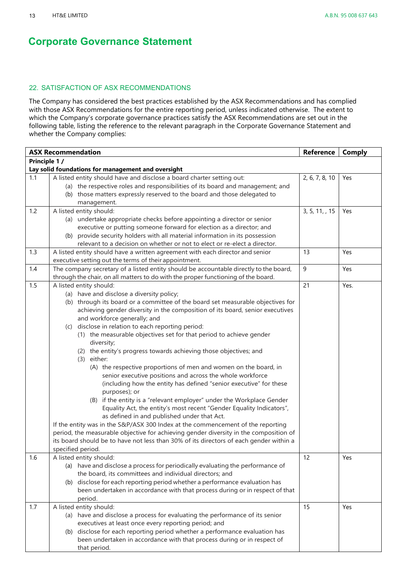#### <span id="page-12-0"></span>22. SATISFACTION OF ASX RECOMMENDATIONS

The Company has considered the best practices established by the ASX Recommendations and has complied with those ASX Recommendations for the entire reporting period, unless indicated otherwise. The extent to which the Company's corporate governance practices satisfy the ASX Recommendations are set out in the following table, listing the reference to the relevant paragraph in the Corporate Governance Statement and whether the Company complies:

| <b>ASX Recommendation</b> |                                                                                                                               | <b>Reference</b> | <b>Comply</b> |
|---------------------------|-------------------------------------------------------------------------------------------------------------------------------|------------------|---------------|
| Principle 1 /             |                                                                                                                               |                  |               |
|                           | Lay solid foundations for management and oversight                                                                            |                  |               |
| 1.1                       | A listed entity should have and disclose a board charter setting out:                                                         | 2, 6, 7, 8, 10   | Yes           |
|                           | (a) the respective roles and responsibilities of its board and management; and                                                |                  |               |
|                           | (b) those matters expressly reserved to the board and those delegated to                                                      |                  |               |
|                           | management.                                                                                                                   |                  |               |
| 1.2                       | A listed entity should:                                                                                                       | 3, 5, 11, , 15   | Yes           |
|                           | (a) undertake appropriate checks before appointing a director or senior                                                       |                  |               |
|                           | executive or putting someone forward for election as a director; and                                                          |                  |               |
|                           | (b) provide security holders with all material information in its possession                                                  |                  |               |
|                           | relevant to a decision on whether or not to elect or re-elect a director.                                                     |                  |               |
| 1.3                       | A listed entity should have a written agreement with each director and senior                                                 | 13               | Yes           |
|                           | executive setting out the terms of their appointment.                                                                         |                  |               |
| 1.4                       | The company secretary of a listed entity should be accountable directly to the board,                                         | $\boldsymbol{9}$ | Yes           |
|                           | through the chair, on all matters to do with the proper functioning of the board.                                             |                  |               |
| 1.5                       | A listed entity should:                                                                                                       | 21               | Yes.          |
|                           | (a) have and disclose a diversity policy;                                                                                     |                  |               |
|                           | (b) through its board or a committee of the board set measurable objectives for                                               |                  |               |
|                           | achieving gender diversity in the composition of its board, senior executives                                                 |                  |               |
|                           | and workforce generally; and                                                                                                  |                  |               |
|                           | disclose in relation to each reporting period:<br>(C)                                                                         |                  |               |
|                           | (1) the measurable objectives set for that period to achieve gender                                                           |                  |               |
|                           | diversity;                                                                                                                    |                  |               |
|                           | (2) the entity's progress towards achieving those objectives; and<br>$(3)$ either:                                            |                  |               |
|                           |                                                                                                                               |                  |               |
|                           | (A) the respective proportions of men and women on the board, in<br>senior executive positions and across the whole workforce |                  |               |
|                           | (including how the entity has defined "senior executive" for these                                                            |                  |               |
|                           | purposes); or                                                                                                                 |                  |               |
|                           | (B) if the entity is a "relevant employer" under the Workplace Gender                                                         |                  |               |
|                           | Equality Act, the entity's most recent "Gender Equality Indicators",                                                          |                  |               |
|                           | as defined in and published under that Act.                                                                                   |                  |               |
|                           | If the entity was in the S&P/ASX 300 Index at the commencement of the reporting                                               |                  |               |
|                           | period, the measurable objective for achieving gender diversity in the composition of                                         |                  |               |
|                           | its board should be to have not less than 30% of its directors of each gender within a                                        |                  |               |
|                           | specified period.                                                                                                             |                  |               |
| 1.6                       | A listed entity should:                                                                                                       | 12               | Yes           |
|                           | (a) have and disclose a process for periodically evaluating the performance of                                                |                  |               |
|                           | the board, its committees and individual directors; and                                                                       |                  |               |
|                           | (b) disclose for each reporting period whether a performance evaluation has                                                   |                  |               |
|                           | been undertaken in accordance with that process during or in respect of that                                                  |                  |               |
|                           | period.                                                                                                                       |                  |               |
| 1.7                       | A listed entity should:                                                                                                       | 15               | Yes           |
|                           | (a) have and disclose a process for evaluating the performance of its senior                                                  |                  |               |
|                           | executives at least once every reporting period; and                                                                          |                  |               |
|                           | (b) disclose for each reporting period whether a performance evaluation has                                                   |                  |               |
|                           | been undertaken in accordance with that process during or in respect of                                                       |                  |               |
|                           | that period.                                                                                                                  |                  |               |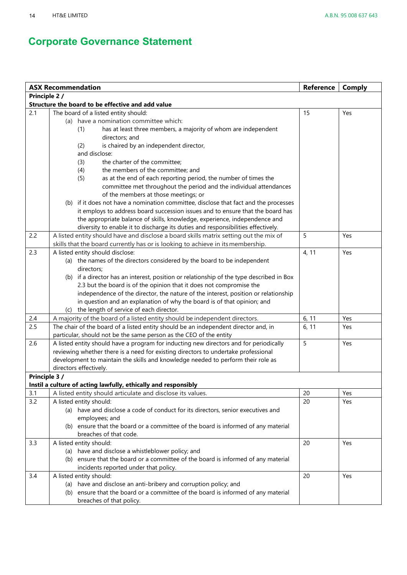|               | <b>ASX Recommendation</b>                                                                                           | <b>Reference</b> | <b>Comply</b> |
|---------------|---------------------------------------------------------------------------------------------------------------------|------------------|---------------|
| Principle 2 / |                                                                                                                     |                  |               |
|               | Structure the board to be effective and add value                                                                   |                  |               |
| 2.1           | The board of a listed entity should:                                                                                | 15               | Yes           |
|               | (a) have a nomination committee which:                                                                              |                  |               |
|               | has at least three members, a majority of whom are independent<br>(1)                                               |                  |               |
|               | directors; and                                                                                                      |                  |               |
|               | (2)<br>is chaired by an independent director,                                                                       |                  |               |
|               | and disclose:                                                                                                       |                  |               |
|               | the charter of the committee;<br>(3)                                                                                |                  |               |
|               | the members of the committee; and<br>(4)                                                                            |                  |               |
|               | as at the end of each reporting period, the number of times the<br>(5)                                              |                  |               |
|               | committee met throughout the period and the individual attendances                                                  |                  |               |
|               | of the members at those meetings; or                                                                                |                  |               |
|               | (b) if it does not have a nomination committee, disclose that fact and the processes                                |                  |               |
|               | it employs to address board succession issues and to ensure that the board has                                      |                  |               |
|               | the appropriate balance of skills, knowledge, experience, independence and                                          |                  |               |
|               | diversity to enable it to discharge its duties and responsibilities effectively.                                    |                  |               |
| 2.2           | A listed entity should have and disclose a board skills matrix setting out the mix of                               | 5                | Yes           |
| 2.3           | skills that the board currently has or is looking to achieve in its membership.<br>A listed entity should disclose: | 4, 11            | Yes           |
|               | (a) the names of the directors considered by the board to be independent                                            |                  |               |
|               | directors;                                                                                                          |                  |               |
|               | (b) if a director has an interest, position or relationship of the type described in Box                            |                  |               |
|               | 2.3 but the board is of the opinion that it does not compromise the                                                 |                  |               |
|               | independence of the director, the nature of the interest, position or relationship                                  |                  |               |
|               | in question and an explanation of why the board is of that opinion; and                                             |                  |               |
|               | (c) the length of service of each director.                                                                         |                  |               |
| $2.4$         | A majority of the board of a listed entity should be independent directors.                                         | 6, 11            | Yes           |
| 2.5           | The chair of the board of a listed entity should be an independent director and, in                                 | 6, 11            | Yes           |
|               | particular, should not be the same person as the CEO of the entity                                                  |                  |               |
| 2.6           | A listed entity should have a program for inducting new directors and for periodically                              | 5                | Yes           |
|               | reviewing whether there is a need for existing directors to undertake professional                                  |                  |               |
|               | development to maintain the skills and knowledge needed to perform their role as                                    |                  |               |
|               | directors effectively.                                                                                              |                  |               |
| Principle 3 / |                                                                                                                     |                  |               |
|               | Instil a culture of acting lawfully, ethically and responsibly                                                      |                  |               |
| 3.1           | A listed entity should articulate and disclose its values.                                                          | 20               | Yes           |
| 3.2           | A listed entity should:                                                                                             | 20               | Yes           |
|               | (a) have and disclose a code of conduct for its directors, senior executives and                                    |                  |               |
|               | employees; and                                                                                                      |                  |               |
|               | (b) ensure that the board or a committee of the board is informed of any material                                   |                  |               |
|               | breaches of that code.                                                                                              |                  |               |
| 3.3           | A listed entity should:                                                                                             | 20               | Yes           |
|               | (a) have and disclose a whistleblower policy; and                                                                   |                  |               |
|               | (b) ensure that the board or a committee of the board is informed of any material                                   |                  |               |
|               | incidents reported under that policy.                                                                               |                  |               |
| 3.4           | A listed entity should:                                                                                             | 20               | Yes           |
|               | (a) have and disclose an anti-bribery and corruption policy; and                                                    |                  |               |
|               | (b) ensure that the board or a committee of the board is informed of any material                                   |                  |               |
|               | breaches of that policy.                                                                                            |                  |               |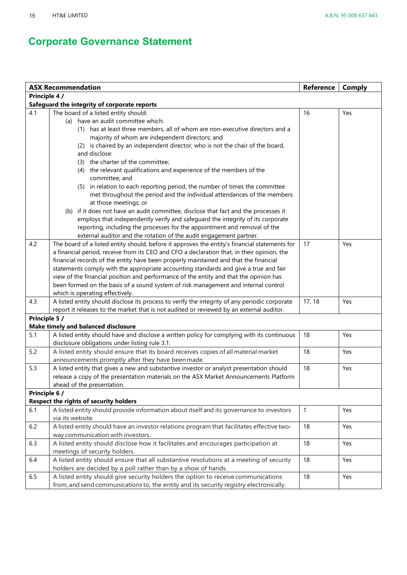|               | <b>ASX Recommendation</b>                                                                                                                     | Reference    | <b>Comply</b> |
|---------------|-----------------------------------------------------------------------------------------------------------------------------------------------|--------------|---------------|
| Principle 4 / |                                                                                                                                               |              |               |
|               | Safeguard the integrity of corporate reports                                                                                                  |              |               |
| 4.1           | The board of a listed entity should:                                                                                                          | 16           | Yes           |
|               | (a) have an audit committee which:                                                                                                            |              |               |
|               | (1) has at least three members, all of whom are non-executive directors and a                                                                 |              |               |
|               | majority of whom are independent directors; and                                                                                               |              |               |
|               | (2) is chaired by an independent director, who is not the chair of the board,                                                                 |              |               |
|               | and disclose:                                                                                                                                 |              |               |
|               | (3) the charter of the committee;                                                                                                             |              |               |
|               | (4) the relevant qualifications and experience of the members of the<br>committee; and                                                        |              |               |
|               | (5) in relation to each reporting period, the number of times the committee                                                                   |              |               |
|               | met throughout the period and the individual attendances of the members                                                                       |              |               |
|               | at those meetings; or                                                                                                                         |              |               |
|               | (b) if it does not have an audit committee, disclose that fact and the processes it                                                           |              |               |
|               | employs that independently verify and safeguard the integrity of its corporate                                                                |              |               |
|               | reporting, including the processes for the appointment and removal of the                                                                     |              |               |
|               | external auditor and the rotation of the audit engagement partner.                                                                            |              |               |
| 4.2           | The board of a listed entity should, before it approves the entity's financial statements for                                                 | 17           | Yes           |
|               | a financial period, receive from its CEO and CFO a declaration that, in their opinion, the                                                    |              |               |
|               | financial records of the entity have been properly maintained and that the financial                                                          |              |               |
|               | statements comply with the appropriate accounting standards and give a true and fair                                                          |              |               |
|               | view of the financial position and performance of the entity and that the opinion has                                                         |              |               |
|               | been formed on the basis of a sound system of risk management and internal control                                                            |              |               |
|               | which is operating effectively.                                                                                                               |              |               |
| 4.3           | A listed entity should disclose its process to verify the integrity of any periodic corporate                                                 | 17, 18       | Yes           |
|               | report it releases to the market that is not audited or reviewed by an external auditor.                                                      |              |               |
| Principle 5 / |                                                                                                                                               |              |               |
| 5.1           | Make timely and balanced disclosure                                                                                                           |              |               |
|               | A listed entity should have and disclose a written policy for complying with its continuous<br>disclosure obligations under listing rule 3.1. | 18           | Yes           |
| 5.2           | A listed entity should ensure that its board receives copies of all material market                                                           | 18           | Yes           |
|               | announcements promptly after they have been made.                                                                                             |              |               |
| 5.3           | A listed entity that gives a new and substantive investor or analyst presentation should                                                      | 18           | Yes           |
|               | release a copy of the presentation materials on the ASX Market Announcements Platform                                                         |              |               |
|               | ahead of the presentation.                                                                                                                    |              |               |
| Principle 6 / |                                                                                                                                               |              |               |
|               | Respect the rights of security holders                                                                                                        |              |               |
| 6.1           | A listed entity should provide information about itself and its governance to investors                                                       | $\mathbf{1}$ | Yes           |
|               | via its website.                                                                                                                              |              |               |
| 6.2           | A listed entity should have an investor relations program that facilitates effective two-                                                     | 18           | Yes           |
|               | way communication with investors.                                                                                                             |              |               |
| 6.3           | A listed entity should disclose how it facilitates and encourages participation at                                                            | 18           | Yes           |
|               | meetings of security holders.                                                                                                                 |              |               |
| 6.4           | A listed entity should ensure that all substantive resolutions at a meeting of security                                                       | 18           | Yes           |
|               | holders are decided by a poll rather than by a show of hands.                                                                                 |              |               |
| 6.5           | A listed entity should give security holders the option to receive communications                                                             | 18           | Yes           |
|               | from, and send communications to, the entity and its security registry electronically.                                                        |              |               |